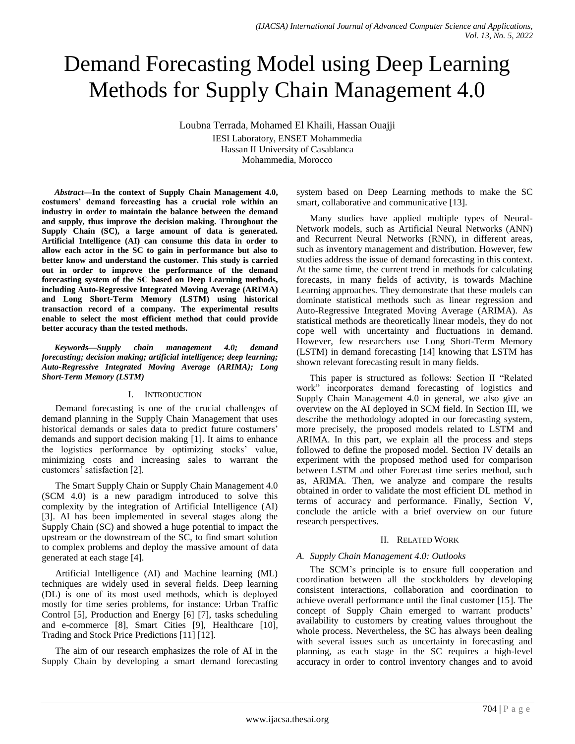# Demand Forecasting Model using Deep Learning Methods for Supply Chain Management 4.0

Loubna Terrada, Mohamed El Khaili, Hassan Ouajji IESI Laboratory, ENSET Mohammedia Hassan II University of Casablanca Mohammedia, Morocco

*Abstract***—In the context of Supply Chain Management 4.0, costumers' demand forecasting has a crucial role within an industry in order to maintain the balance between the demand and supply, thus improve the decision making. Throughout the Supply Chain (SC), a large amount of data is generated. Artificial Intelligence (AI) can consume this data in order to allow each actor in the SC to gain in performance but also to better know and understand the customer. This study is carried out in order to improve the performance of the demand forecasting system of the SC based on Deep Learning methods, including Auto-Regressive Integrated Moving Average (ARIMA) and Long Short-Term Memory (LSTM) using historical transaction record of a company. The experimental results enable to select the most efficient method that could provide better accuracy than the tested methods.**

*Keywords—Supply chain management 4.0; demand forecasting; decision making; artificial intelligence; deep learning; Auto-Regressive Integrated Moving Average (ARIMA); Long Short-Term Memory (LSTM)*

# I. INTRODUCTION

Demand forecasting is one of the crucial challenges of demand planning in the Supply Chain Management that uses historical demands or sales data to predict future costumers' demands and support decision making [1]. It aims to enhance the logistics performance by optimizing stocks' value, minimizing costs and increasing sales to warrant the customers' satisfaction [2].

The Smart Supply Chain or Supply Chain Management 4.0 (SCM 4.0) is a new paradigm introduced to solve this complexity by the integration of Artificial Intelligence (AI) [3]. AI has been implemented in several stages along the Supply Chain (SC) and showed a huge potential to impact the upstream or the downstream of the SC, to find smart solution to complex problems and deploy the massive amount of data generated at each stage [4].

Artificial Intelligence (AI) and Machine learning (ML) techniques are widely used in several fields. Deep learning (DL) is one of its most used methods, which is deployed mostly for time series problems, for instance: Urban Traffic Control [5], Production and Energy [6] [7], tasks scheduling and e-commerce [8], Smart Cities [9], Healthcare [10], Trading and Stock Price Predictions [11] [12].

The aim of our research emphasizes the role of AI in the Supply Chain by developing a smart demand forecasting

system based on Deep Learning methods to make the SC smart, collaborative and communicative [13].

Many studies have applied multiple types of Neural-Network models, such as Artificial Neural Networks (ANN) and Recurrent Neural Networks (RNN), in different areas, such as inventory management and distribution. However, few studies address the issue of demand forecasting in this context. At the same time, the current trend in methods for calculating forecasts, in many fields of activity, is towards Machine Learning approaches. They demonstrate that these models can dominate statistical methods such as linear regression and Auto-Regressive Integrated Moving Average (ARIMA). As statistical methods are theoretically linear models, they do not cope well with uncertainty and fluctuations in demand. However, few researchers use Long Short-Term Memory (LSTM) in demand forecasting [14] knowing that LSTM has shown relevant forecasting result in many fields.

This paper is structured as follows: Section II "Related work" incorporates demand forecasting of logistics and Supply Chain Management 4.0 in general, we also give an overview on the AI deployed in SCM field. In Section III, we describe the methodology adopted in our forecasting system, more precisely, the proposed models related to LSTM and ARIMA. In this part, we explain all the process and steps followed to define the proposed model. Section IV details an experiment with the proposed method used for comparison between LSTM and other Forecast time series method, such as, ARIMA. Then, we analyze and compare the results obtained in order to validate the most efficient DL method in terms of accuracy and performance. Finally, Section V, conclude the article with a brief overview on our future research perspectives.

# II. RELATED WORK

# *A. Supply Chain Management 4.0: Outlooks*

The SCM's principle is to ensure full cooperation and coordination between all the stockholders by developing consistent interactions, collaboration and coordination to achieve overall performance until the final customer [15]. The concept of Supply Chain emerged to warrant products' availability to customers by creating values throughout the whole process. Nevertheless, the SC has always been dealing with several issues such as uncertainty in forecasting and planning, as each stage in the SC requires a high-level accuracy in order to control inventory changes and to avoid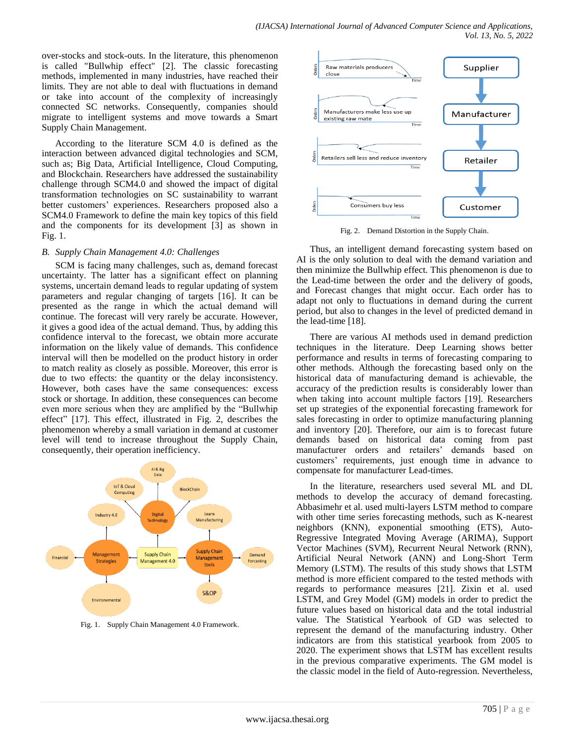over-stocks and stock-outs. In the literature, this phenomenon is called "Bullwhip effect" [2]. The classic forecasting methods, implemented in many industries, have reached their limits. They are not able to deal with fluctuations in demand or take into account of the complexity of increasingly connected SC networks. Consequently, companies should migrate to intelligent systems and move towards a Smart Supply Chain Management.

According to the literature SCM 4.0 is defined as the interaction between advanced digital technologies and SCM, such as; Big Data, Artificial Intelligence, Cloud Computing, and Blockchain. Researchers have addressed the sustainability challenge through SCM4.0 and showed the impact of digital transformation technologies on SC sustainability to warrant better customers' experiences. Researchers proposed also a SCM4.0 Framework to define the main key topics of this field and the components for its development [3] as shown in Fig. 1.

# *B. Supply Chain Management 4.0: Challenges*

SCM is facing many challenges, such as, demand forecast uncertainty. The latter has a significant effect on planning systems, uncertain demand leads to regular updating of system parameters and regular changing of targets [16]. It can be presented as the range in which the actual demand will continue. The forecast will very rarely be accurate. However, it gives a good idea of the actual demand. Thus, by adding this confidence interval to the forecast, we obtain more accurate information on the likely value of demands. This confidence interval will then be modelled on the product history in order to match reality as closely as possible. Moreover, this error is due to two effects: the quantity or the delay inconsistency. However, both cases have the same consequences: excess stock or shortage. In addition, these consequences can become even more serious when they are amplified by the "Bullwhip effect" [17]. This effect, illustrated in Fig. 2, describes the phenomenon whereby a small variation in demand at customer level will tend to increase throughout the Supply Chain, consequently, their operation inefficiency.



Fig. 1. Supply Chain Management 4.0 Framework.



Fig. 2. Demand Distortion in the Supply Chain.

Thus, an intelligent demand forecasting system based on AI is the only solution to deal with the demand variation and then minimize the Bullwhip effect. This phenomenon is due to the Lead-time between the order and the delivery of goods, and Forecast changes that might occur. Each order has to adapt not only to fluctuations in demand during the current period, but also to changes in the level of predicted demand in the lead-time [18].

There are various AI methods used in demand prediction techniques in the literature. Deep Learning shows better performance and results in terms of forecasting comparing to other methods. Although the forecasting based only on the historical data of manufacturing demand is achievable, the accuracy of the prediction results is considerably lower than when taking into account multiple factors [19]. Researchers set up strategies of the exponential forecasting framework for sales forecasting in order to optimize manufacturing planning and inventory [20]. Therefore, our aim is to forecast future demands based on historical data coming from past manufacturer orders and retailers' demands based on customers' requirements, just enough time in advance to compensate for manufacturer Lead-times.

In the literature, researchers used several ML and DL methods to develop the accuracy of demand forecasting. Abbasimehr et al. used multi-layers LSTM method to compare with other time series forecasting methods, such as K-nearest neighbors (KNN), exponential smoothing (ETS), Auto-Regressive Integrated Moving Average (ARIMA), Support Vector Machines (SVM), Recurrent Neural Network (RNN), Artificial Neural Network (ANN) and Long-Short Term Memory (LSTM). The results of this study shows that LSTM method is more efficient compared to the tested methods with regards to performance measures [21]. Zixin et al. used LSTM, and Grey Model (GM) models in order to predict the future values based on historical data and the total industrial value. The Statistical Yearbook of GD was selected to represent the demand of the manufacturing industry. Other indicators are from this statistical yearbook from 2005 to 2020. The experiment shows that LSTM has excellent results in the previous comparative experiments. The GM model is the classic model in the field of Auto-regression. Nevertheless,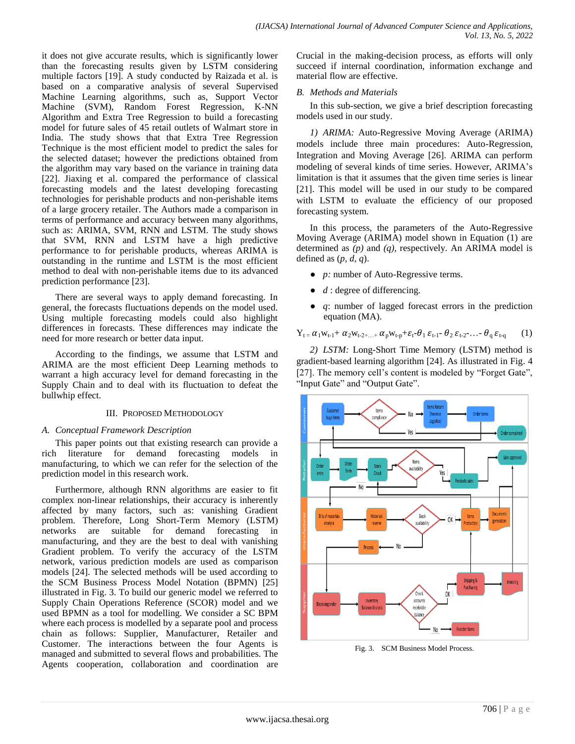it does not give accurate results, which is significantly lower than the forecasting results given by LSTM considering multiple factors [19]. A study conducted by Raizada et al. is based on a comparative analysis of several Supervised Machine Learning algorithms, such as, Support Vector Machine (SVM), Random Forest Regression, K-NN Algorithm and Extra Tree Regression to build a forecasting model for future sales of 45 retail outlets of Walmart store in India. The study shows that that Extra Tree Regression Technique is the most efficient model to predict the sales for the selected dataset; however the predictions obtained from the algorithm may vary based on the variance in training data [22]. Jiaxing et al. compared the performance of classical forecasting models and the latest developing forecasting technologies for perishable products and non-perishable items of a large grocery retailer. The Authors made a comparison in terms of performance and accuracy between many algorithms, such as: ARIMA, SVM, RNN and LSTM. The study shows that SVM, RNN and LSTM have a high predictive performance to for perishable products, whereas ARIMA is outstanding in the runtime and LSTM is the most efficient method to deal with non-perishable items due to its advanced prediction performance [23].

There are several ways to apply demand forecasting. In general, the forecasts fluctuations depends on the model used. Using multiple forecasting models could also highlight differences in forecasts. These differences may indicate the need for more research or better data input.

According to the findings, we assume that LSTM and ARIMA are the most efficient Deep Learning methods to warrant a high accuracy level for demand forecasting in the Supply Chain and to deal with its fluctuation to defeat the bullwhip effect.

# III. PROPOSED METHODOLOGY

# *A. Conceptual Framework Description*

This paper points out that existing research can provide a rich literature for demand forecasting models in manufacturing, to which we can refer for the selection of the prediction model in this research work.

Furthermore, although RNN algorithms are easier to fit complex non-linear relationships, their accuracy is inherently affected by many factors, such as: vanishing Gradient problem. Therefore, Long Short-Term Memory (LSTM) networks are suitable for demand forecasting in manufacturing, and they are the best to deal with vanishing Gradient problem. To verify the accuracy of the LSTM network, various prediction models are used as comparison models [24]. The selected methods will be used according to the SCM Business Process Model Notation (BPMN) [25] illustrated in Fig. 3. To build our generic model we referred to Supply Chain Operations Reference (SCOR) model and we used BPMN as a tool for modelling. We consider a SC BPM where each process is modelled by a separate pool and process chain as follows: Supplier, Manufacturer, Retailer and Customer. The interactions between the four Agents is managed and submitted to several flows and probabilities. The Agents cooperation, collaboration and coordination are

Crucial in the making-decision process, as efforts will only succeed if internal coordination, information exchange and material flow are effective.

# *B. Methods and Materials*

In this sub-section, we give a brief description forecasting models used in our study.

*1) ARIMA:* Auto-Regressive Moving Average (ARIMA) models include three main procedures: Auto-Regression, Integration and Moving Average [26]. ARIMA can perform modeling of several kinds of time series. However, ARIMA's limitation is that it assumes that the given time series is linear [21]. This model will be used in our study to be compared with LSTM to evaluate the efficiency of our proposed forecasting system.

In this process, the parameters of the Auto-Regressive Moving Average (ARIMA) model shown in Equation (1) are determined as *(p)* and *(q),* respectively. An ARIMA model is defined as (*p, d, q*).

- *p:* number of Auto-Regressive terms.
- $\bullet$  *d* : degree of differencing.
- *q*: number of lagged forecast errors in the prediction equation (MA).

$$
Y_{t} = \alpha_1 w_{t-1} + \alpha_2 w_{t-2+\ldots} + \alpha_p w_{t-p} + \varepsilon_t - \theta_1 \varepsilon_{t-1} - \theta_2 \varepsilon_{t-2} - \ldots - \theta_q \varepsilon_{t-q}
$$
 (1)

*2) LSTM:* Long-Short Time Memory (LSTM) method is gradient-based learning algorithm [24]. As illustrated in Fig. 4 [27]. The memory cell's content is modeled by "Forget Gate", "Input Gate" and "Output Gate".



Fig. 3. SCM Business Model Process.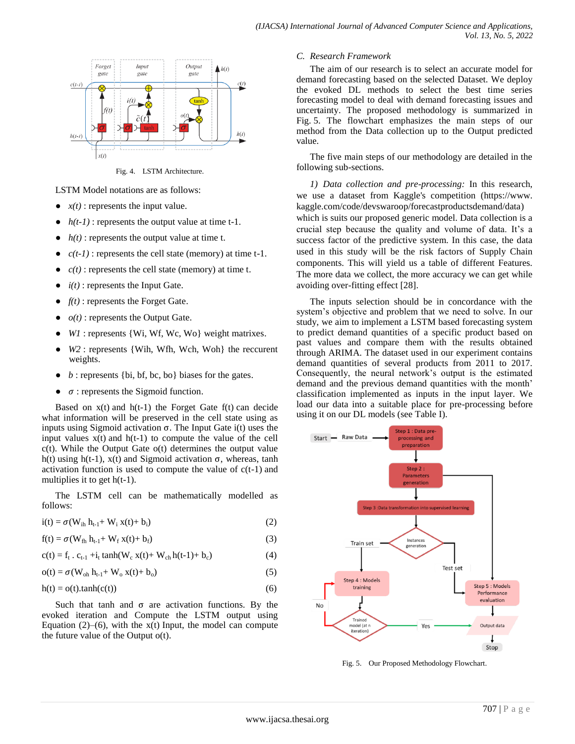

Fig. 4. LSTM Architecture.

LSTM Model notations are as follows:

- $x(t)$ : represents the input value.
- $\bullet$  *h(t-1)* : represents the output value at time t-1.
- $h(t)$ : represents the output value at time t.
- $\bullet$  *c(t-1)*: represents the cell state (memory) at time t-1.
- $c(t)$ : represents the cell state (memory) at time t.
- $i(t)$ : represents the Input Gate.
- $f(t)$ : represents the Forget Gate.
- $o(t)$ : represents the Output Gate.
- $W1$ : represents {Wi, Wf, Wc, Wo} weight matrixes.
- $W2$ : represents {Wih, Wfh, Wch, Woh} the reccurent weights.
- $\bullet$  *b* : represents {bi, bf, bc, bo} biases for the gates.
- $\bullet$   $\sigma$ : represents the Sigmoid function.

Based on  $x(t)$  and  $h(t-1)$  the Forget Gate  $f(t)$  can decide what information will be preserved in the cell state using as inputs using Sigmoid activation  $\sigma$ . The Input Gate i(t) uses the input values  $x(t)$  and  $h(t-1)$  to compute the value of the cell  $c(t)$ . While the Output Gate  $o(t)$  determines the output value h(t) using h(t-1),  $x(t)$  and Sigmoid activation  $\sigma$ , whereas, tanh activation function is used to compute the value of  $c(t-1)$  and multiplies it to get  $h(t-1)$ .

The LSTM cell can be mathematically modelled as follows:

$$
i(t) = \sigma(W_{ih} h_{t-1} + W_i x(t) + b_i)
$$
\n(2)

$$
f(t) = \sigma(W_{fh} h_{t-1} + W_f x(t) + b_f)
$$
\n(3)

$$
c(t) = f_t \cdot c_{t-1} + i_t \tanh(W_c x(t) + W_{ch} h(t-1) + b_c)
$$
 (4)

$$
o(t) = \sigma(W_{oh} h_{t-1} + W_o x(t) + b_o)
$$
\n
$$
(5)
$$

$$
h(t) = o(t).tanh(c(t))
$$
\n(6)

Such that tanh and  $\sigma$  are activation functions. By the evoked iteration and Compute the LSTM output using Equation  $(2)$ – $(6)$ , with the x(t) Input, the model can compute the future value of the Output o(t).

#### *C. Research Framework*

The aim of our research is to select an accurate model for demand forecasting based on the selected Dataset. We deploy the evoked DL methods to select the best time series forecasting model to deal with demand forecasting issues and uncertainty. The proposed methodology is summarized in Fig. 5. The flowchart emphasizes the main steps of our method from the Data collection up to the Output predicted value.

The five main steps of our methodology are detailed in the following sub-sections.

*1) Data collection and pre-processing:* In this research, we use a dataset from Kaggle's competition (https://www. kaggle.com/code/devswaroop/forecastproductsdemand/data) which is suits our proposed generic model. Data collection is a crucial step because the quality and volume of data. It's a success factor of the predictive system. In this case, the data used in this study will be the risk factors of Supply Chain components. This will yield us a table of different Features. The more data we collect, the more accuracy we can get while avoiding over-fitting effect [28].

The inputs selection should be in concordance with the system's objective and problem that we need to solve. In our study, we aim to implement a LSTM based forecasting system to predict demand quantities of a specific product based on past values and compare them with the results obtained through ARIMA. The dataset used in our experiment contains demand quantities of several products from 2011 to 2017. Consequently, the neural network's output is the estimated demand and the previous demand quantities with the month' classification implemented as inputs in the input layer. We load our data into a suitable place for pre-processing before using it on our DL models (see Table I).



Fig. 5. Our Proposed Methodology Flowchart.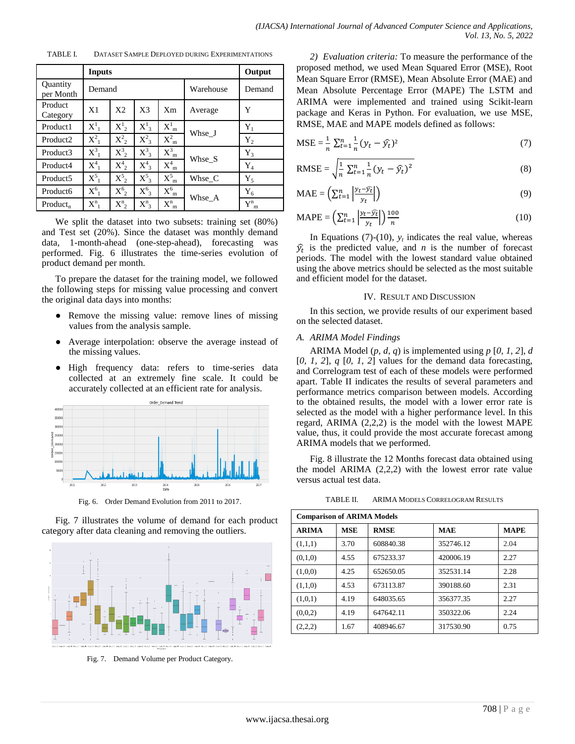TABLE I. DATASET SAMPLE DEPLOYED DURING EXPERIMENTATIONS

|                       | <b>Inputs</b>  | Output               |                    |                |           |                       |
|-----------------------|----------------|----------------------|--------------------|----------------|-----------|-----------------------|
| Quantity<br>per Month | Demand         |                      |                    |                | Warehouse | Demand                |
| Product<br>Category   | X1             | X2                   | X <sup>3</sup>     | X <sub>m</sub> | Average   | Y                     |
| Product1              | $X^1_{-1}$     | $X^1$ <sub>2</sub>   | $X^1$ <sub>3</sub> | $X_{m}^{1}$    |           | $Y_1$                 |
| Product <sub>2</sub>  | $X^2_{-1}$     | $\mathrm{X}_{2}^{2}$ | $X^2$              | $X_{m}^{2}$    | Whse J    | $Y_2$                 |
| Product3              | $X_{-1}^3$     | $\text{X}_2^3$       | $X^3_{3}$          | $X_{m}^{3}$    | Whse S    | $Y_3$                 |
| Product4              | $X_{-1}^4$     | $X_{2}^{4}$          | $X^4$ <sub>3</sub> | $X_{m}^{4}$    |           | $Y_4$                 |
| Product <sub>5</sub>  | $\mathrm{X}^5$ | $\mathrm{X}_{2}^{5}$ | $X^5$ 3            | $X_{m}^{5}$    | Whse_C    | $Y_5$                 |
| Product <sub>6</sub>  | $X^6_{-1}$     | $\mathrm{X}_{2}^{6}$ | $X^6$              | $X_{m}^{6}$    | Whse_A    | ${\rm Y}_6$           |
| $Product_{n}$         | $X_{1}^{n}$    | $X_{2}^{n}$          | $X^n_3$            | $X_{m}^{n}$    |           | $Y^{\rm n}_{\ \rm m}$ |

We split the dataset into two subsets: training set (80%) and Test set (20%). Since the dataset was monthly demand data, 1-month-ahead (one-step-ahead), forecasting was performed. Fig. 6 illustrates the time-series evolution of product demand per month.

To prepare the dataset for the training model, we followed the following steps for missing value processing and convert the original data days into months:

- Remove the missing value: remove lines of missing values from the analysis sample.
- Average interpolation: observe the average instead of the missing values.
- High frequency data: refers to time-series data collected at an extremely fine scale. It could be accurately collected at an efficient rate for analysis.



Fig. 6. Order Demand Evolution from 2011 to 2017.

Fig. 7 illustrates the volume of demand for each product category after data cleaning and removing the outliers.



Fig. 7. Demand Volume per Product Category.

*2) Evaluation criteria:* To measure the performance of the proposed method, we used Mean Squared Error (MSE), Root Mean Square Error (RMSE), Mean Absolute Error (MAE) and Mean Absolute Percentage Error (MAPE) The LSTM and ARIMA were implemented and trained using Scikit-learn package and Keras in Python. For evaluation, we use MSE, RMSE, MAE and MAPE models defined as follows:

$$
MSE = \frac{1}{n} \sum_{t=1}^{n} \frac{1}{n} (y_t - \hat{y}_t)^2
$$
 (7)

RMSE = 
$$
\sqrt{\frac{1}{n} \sum_{t=1}^{n} \frac{1}{n} (y_t - \hat{y}_t)^2}
$$
 (8)

$$
\text{MAE} = \left( \sum_{t=1}^{n} \left| \frac{y_t - \widehat{y_t}}{y_t} \right| \right) \tag{9}
$$

$$
\text{MAPE} = \left(\sum_{t=1}^{n} \left| \frac{y_t - \widehat{y_t}}{y_t} \right| \right) \frac{100}{n} \tag{10}
$$

In Equations (7)-(10),  $y_t$  indicates the real value, whereas  $\hat{y}_t$  is the predicted value, and *n* is the number of forecast periods. The model with the lowest standard value obtained using the above metrics should be selected as the most suitable and efficient model for the dataset.

#### IV. RESULT AND DISCUSSION

In this section, we provide results of our experiment based on the selected dataset.

#### *A. ARIMA Model Findings*

ARIMA Model (*p, d, q*) is implemented using *p* [*0, 1, 2*], *d* [*0, 1, 2*], *q* [*0, 1, 2*] values for the demand data forecasting, and Correlogram test of each of these models were performed apart. Table II indicates the results of several parameters and performance metrics comparison between models. According to the obtained results, the model with a lower error rate is selected as the model with a higher performance level. In this regard, ARIMA (2,2,2) is the model with the lowest MAPE value, thus, it could provide the most accurate forecast among ARIMA models that we performed.

Fig. 8 illustrate the 12 Months forecast data obtained using the model ARIMA (2,2,2) with the lowest error rate value versus actual test data.

TABLE II. ARIMA MODELS CORRELOGRAM RESULTS

| <b>Comparison of ARIMA Models</b> |            |             |            |             |  |  |  |
|-----------------------------------|------------|-------------|------------|-------------|--|--|--|
| <b>ARIMA</b>                      | <b>MSE</b> | <b>RMSE</b> | <b>MAE</b> | <b>MAPE</b> |  |  |  |
| (1,1,1)                           | 3.70       | 608840.38   | 352746.12  | 2.04        |  |  |  |
| (0,1,0)                           | 4.55       | 675233.37   | 420006.19  | 2.27        |  |  |  |
| (1,0,0)                           | 4.25       | 652650.05   | 352531.14  | 2.28        |  |  |  |
| (1,1,0)                           | 4.53       | 673113.87   | 390188.60  | 2.31        |  |  |  |
| (1,0,1)                           | 4.19       | 648035.65   | 356377.35  | 2.27        |  |  |  |
| (0,0,2)                           | 4.19       | 647642.11   | 350322.06  | 2.24        |  |  |  |
| (2,2,2)                           | 1.67       | 408946.67   | 317530.90  | 0.75        |  |  |  |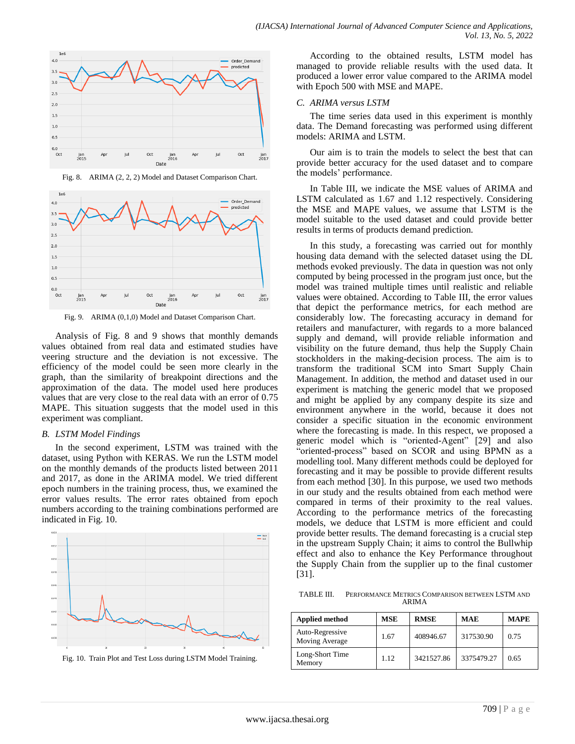

Fig. 8. ARIMA (2, 2, 2) Model and Dataset Comparison Chart.



Fig. 9. ARIMA (0,1,0) Model and Dataset Comparison Chart.

Analysis of Fig. 8 and 9 shows that monthly demands values obtained from real data and estimated studies have veering structure and the deviation is not excessive. The efficiency of the model could be seen more clearly in the graph, than the similarity of breakpoint directions and the approximation of the data. The model used here produces values that are very close to the real data with an error of 0.75 MAPE. This situation suggests that the model used in this experiment was compliant.

#### *B. LSTM Model Findings*

In the second experiment, LSTM was trained with the dataset, using Python with KERAS. We run the LSTM model on the monthly demands of the products listed between 2011 and 2017, as done in the ARIMA model. We tried different epoch numbers in the training process, thus, we examined the error values results. The error rates obtained from epoch numbers according to the training combinations performed are indicated in Fig. 10.



Fig. 10. Train Plot and Test Loss during LSTM Model Training.

According to the obtained results, LSTM model has managed to provide reliable results with the used data. It produced a lower error value compared to the ARIMA model with Epoch 500 with MSE and MAPE.

#### *C. ARIMA versus LSTM*

The time series data used in this experiment is monthly data. The Demand forecasting was performed using different models: ARIMA and LSTM.

Our aim is to train the models to select the best that can provide better accuracy for the used dataset and to compare the models' performance.

In Table III, we indicate the MSE values of ARIMA and LSTM calculated as 1.67 and 1.12 respectively. Considering the MSE and MAPE values, we assume that LSTM is the model suitable to the used dataset and could provide better results in terms of products demand prediction.

In this study, a forecasting was carried out for monthly housing data demand with the selected dataset using the DL methods evoked previously. The data in question was not only computed by being processed in the program just once, but the model was trained multiple times until realistic and reliable values were obtained. According to Table III, the error values that depict the performance metrics, for each method are considerably low. The forecasting accuracy in demand for retailers and manufacturer, with regards to a more balanced supply and demand, will provide reliable information and visibility on the future demand, thus help the Supply Chain stockholders in the making-decision process. The aim is to transform the traditional SCM into Smart Supply Chain Management. In addition, the method and dataset used in our experiment is matching the generic model that we proposed and might be applied by any company despite its size and environment anywhere in the world, because it does not consider a specific situation in the economic environment where the forecasting is made. In this respect, we proposed a generic model which is "oriented-Agent" [29] and also "oriented-process" based on SCOR and using BPMN as a modelling tool. Many different methods could be deployed for forecasting and it may be possible to provide different results from each method [30]. In this purpose, we used two methods in our study and the results obtained from each method were compared in terms of their proximity to the real values. According to the performance metrics of the forecasting models, we deduce that LSTM is more efficient and could provide better results. The demand forecasting is a crucial step in the upstream Supply Chain; it aims to control the Bullwhip effect and also to enhance the Key Performance throughout the Supply Chain from the supplier up to the final customer [31].

TABLE III. PERFORMANCE METRICS COMPARISON BETWEEN LSTM AND ARIMA

| <b>Applied method</b>             | <b>MSE</b> | <b>RMSE</b> | <b>MAE</b> | <b>MAPE</b> |
|-----------------------------------|------------|-------------|------------|-------------|
| Auto-Regressive<br>Moving Average | 1.67       | 408946.67   | 317530.90  | 0.75        |
| Long-Short Time<br>Memory         | 1.12       | 3421527.86  | 3375479.27 | 0.65        |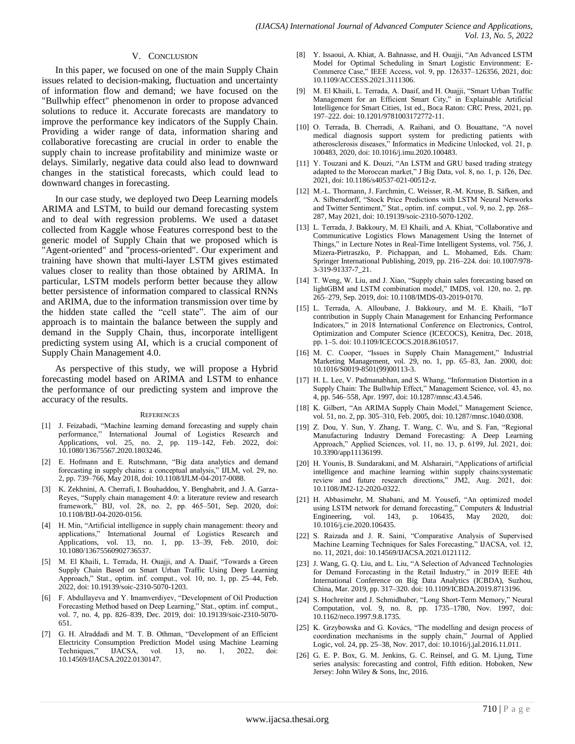#### V. CONCLUSION

In this paper, we focused on one of the main Supply Chain issues related to decision-making, fluctuation and uncertainty of information flow and demand; we have focused on the "Bullwhip effect" phenomenon in order to propose advanced solutions to reduce it. Accurate forecasts are mandatory to improve the performance key indicators of the Supply Chain. Providing a wider range of data, information sharing and collaborative forecasting are crucial in order to enable the supply chain to increase profitability and minimize waste or delays. Similarly, negative data could also lead to downward changes in the statistical forecasts, which could lead to downward changes in forecasting.

In our case study, we deployed two Deep Learning models ARIMA and LSTM, to build our demand forecasting system and to deal with regression problems. We used a dataset collected from Kaggle whose Features correspond best to the generic model of Supply Chain that we proposed which is "Agent-oriented" and "process-oriented". Our experiment and training have shown that multi-layer LSTM gives estimated values closer to reality than those obtained by ARIMA. In particular, LSTM models perform better because they allow better persistence of information compared to classical RNNs and ARIMA, due to the information transmission over time by the hidden state called the "cell state". The aim of our approach is to maintain the balance between the supply and demand in the Supply Chain, thus, incorporate intelligent predicting system using AI, which is a crucial component of Supply Chain Management 4.0.

As perspective of this study, we will propose a Hybrid forecasting model based on ARIMA and LSTM to enhance the performance of our predicting system and improve the accuracy of the results.

#### **REFERENCES**

- [1] J. Feizabadi, "Machine learning demand forecasting and supply chain performance," International Journal of Logistics Research and Applications, vol. 25, no. 2, pp. 119–142, Feb. 2022, doi: 10.1080/13675567.2020.1803246.
- [2] E. Hofmann and E. Rutschmann, "Big data analytics and demand forecasting in supply chains: a conceptual analysis," IJLM, vol. 29, no. 2, pp. 739–766, May 2018, doi: 10.1108/IJLM-04-2017-0088.
- [3] K. Zekhnini, A. Cherrafi, I. Bouhaddou, Y. Benghabrit, and J. A. Garza-Reyes, "Supply chain management 4.0: a literature review and research framework," BIJ, vol. 28, no. 2, pp. 465–501, Sep. 2020, doi: 10.1108/BIJ-04-2020-0156.
- [4] H. Min, "Artificial intelligence in supply chain management: theory and applications," International Journal of Logistics Research and Applications, vol. 13, no. 1, pp. 13–39, Feb. 2010, doi: 10.1080/13675560902736537.
- [5] M. El Khaili, L. Terrada, H. Ouajji, and A. Daaif, "Towards a Green Supply Chain Based on Smart Urban Traffic Using Deep Learning Approach," Stat., optim. inf. comput., vol. 10, no. 1, pp. 25–44, Feb. 2022, doi: 10.19139/soic-2310-5070-1203.
- [6] F. Abdullayeva and Y. Imamverdiyev, "Development of Oil Production Forecasting Method based on Deep Learning," Stat., optim. inf. comput., vol. 7, no. 4, pp. 826–839, Dec. 2019, doi: 10.19139/soic-2310-5070- 651.
- [7] G. H. Alraddadi and M. T. B. Othman, "Development of an Efficient Electricity Consumption Prediction Model using Machine Learning Techniques," IJACSA, vol. 13, no. 1, 2022, doi: 10.14569/IJACSA.2022.0130147.
- [8] Y. Issaoui, A. Khiat, A. Bahnasse, and H. Ouajji, "An Advanced LSTM Model for Optimal Scheduling in Smart Logistic Environment: E-Commerce Case," IEEE Access, vol. 9, pp. 126337–126356, 2021, doi: 10.1109/ACCESS.2021.3111306.
- [9] M. El Khaili, L. Terrada, A. Daaif, and H. Ouajji, "Smart Urban Traffic Management for an Efficient Smart City," in Explainable Artificial Intelligence for Smart Cities, 1st ed., Boca Raton: CRC Press, 2021, pp. 197–222. doi: 10.1201/9781003172772-11.
- [10] O. Terrada, B. Cherradi, A. Raihani, and O. Bouattane, "A novel medical diagnosis support system for predicting patients with atherosclerosis diseases," Informatics in Medicine Unlocked, vol. 21, p. 100483, 2020, doi: 10.1016/j.imu.2020.100483.
- [11] Y. Touzani and K. Douzi, "An LSTM and GRU based trading strategy adapted to the Moroccan market," J Big Data, vol. 8, no. 1, p. 126, Dec. 2021, doi: 10.1186/s40537-021-00512-z.
- [12] M.-L. Thormann, J. Farchmin, C. Weisser, R.-M. Kruse, B. Säfken, and A. Silbersdorff, "Stock Price Predictions with LSTM Neural Networks and Twitter Sentiment," Stat., optim. inf. comput., vol. 9, no. 2, pp. 268– 287, May 2021, doi: 10.19139/soic-2310-5070-1202.
- [13] L. Terrada, J. Bakkoury, M. El Khaili, and A. Khiat, "Collaborative and Communicative Logistics Flows Management Using the Internet of Things," in Lecture Notes in Real-Time Intelligent Systems, vol. 756, J. Mizera-Pietraszko, P. Pichappan, and L. Mohamed, Eds. Cham: Springer International Publishing, 2019, pp. 216–224. doi: 10.1007/978- 3-319-91337-7\_21.
- [14] T. Weng, W. Liu, and J. Xiao, "Supply chain sales forecasting based on lightGBM and LSTM combination model," IMDS, vol. 120, no. 2, pp. 265–279, Sep. 2019, doi: 10.1108/IMDS-03-2019-0170.
- [15] L. Terrada, A. Alloubane, J. Bakkoury, and M. E. Khaili, "IoT contribution in Supply Chain Management for Enhancing Performance Indicators," in 2018 International Conference on Electronics, Control, Optimization and Computer Science (ICECOCS), Kenitra, Dec. 2018, pp. 1–5. doi: 10.1109/ICECOCS.2018.8610517.
- [16] M. C. Cooper, "Issues in Supply Chain Management," Industrial Marketing Management, vol. 29, no. 1, pp. 65–83, Jan. 2000, doi: 10.1016/S0019-8501(99)00113-3.
- [17] H. L. Lee, V. Padmanabhan, and S. Whang, "Information Distortion in a Supply Chain: The Bullwhip Effect," Management Science, vol. 43, no. 4, pp. 546–558, Apr. 1997, doi: 10.1287/mnsc.43.4.546.
- [18] K. Gilbert, "An ARIMA Supply Chain Model," Management Science, vol. 51, no. 2, pp. 305–310, Feb. 2005, doi: 10.1287/mnsc.1040.0308.
- [19] Z. Dou, Y. Sun, Y. Zhang, T. Wang, C. Wu, and S. Fan, "Regional Manufacturing Industry Demand Forecasting: A Deep Learning Approach," Applied Sciences, vol. 11, no. 13, p. 6199, Jul. 2021, doi: 10.3390/app11136199.
- [20] H. Younis, B. Sundarakani, and M. Alsharairi, "Applications of artificial intelligence and machine learning within supply chains:systematic review and future research directions," JM2, Aug. 2021, doi: 10.1108/JM2-12-2020-0322.
- [21] H. Abbasimehr, M. Shabani, and M. Yousefi, "An optimized model using LSTM network for demand forecasting," Computers & Industrial Engineering, vol. 143, p. 106435, May 2020, doi: 10.1016/j.cie.2020.106435.
- [22] S. Raizada and J. R. Saini, "Comparative Analysis of Supervised Machine Learning Techniques for Sales Forecasting," IJACSA, vol. 12, no. 11, 2021, doi: 10.14569/IJACSA.2021.0121112.
- [23] J. Wang, G. O. Liu, and L. Liu, "A Selection of Advanced Technologies for Demand Forecasting in the Retail Industry," in 2019 IEEE 4th International Conference on Big Data Analytics (ICBDA), Suzhou, China, Mar. 2019, pp. 317–320. doi: 10.1109/ICBDA.2019.8713196.
- [24] S. Hochreiter and J. Schmidhuber, "Long Short-Term Memory," Neural Computation, vol. 9, no. 8, pp. 1735–1780, Nov. 1997, doi: 10.1162/neco.1997.9.8.1735.
- [25] K. Grzybowska and G. Kovács, "The modelling and design process of coordination mechanisms in the supply chain," Journal of Applied Logic, vol. 24, pp. 25–38, Nov. 2017, doi: 10.1016/j.jal.2016.11.011.
- [26] G. E. P. Box, G. M. Jenkins, G. C. Reinsel, and G. M. Ljung, Time series analysis: forecasting and control, Fifth edition. Hoboken, New Jersey: John Wiley & Sons, Inc, 2016.